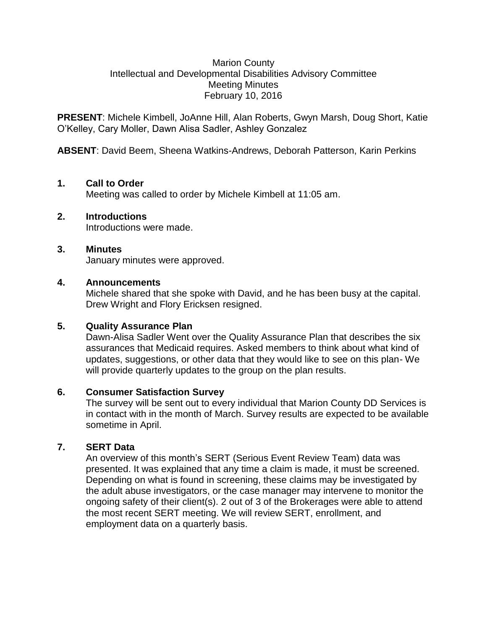#### Marion County Intellectual and Developmental Disabilities Advisory Committee Meeting Minutes February 10, 2016

**PRESENT**: Michele Kimbell, JoAnne Hill, Alan Roberts, Gwyn Marsh, Doug Short, Katie O'Kelley, Cary Moller, Dawn Alisa Sadler, Ashley Gonzalez

**ABSENT**: David Beem, Sheena Watkins-Andrews, Deborah Patterson, Karin Perkins

## **1. Call to Order**

Meeting was called to order by Michele Kimbell at 11:05 am.

### **2. Introductions**

Introductions were made.

### **3. Minutes**

January minutes were approved.

### **4. Announcements**

Michele shared that she spoke with David, and he has been busy at the capital. Drew Wright and Flory Ericksen resigned.

# **5. Quality Assurance Plan**

Dawn-Alisa Sadler Went over the Quality Assurance Plan that describes the six assurances that Medicaid requires. Asked members to think about what kind of updates, suggestions, or other data that they would like to see on this plan- We will provide quarterly updates to the group on the plan results.

### **6. Consumer Satisfaction Survey**

The survey will be sent out to every individual that Marion County DD Services is in contact with in the month of March. Survey results are expected to be available sometime in April.

### **7. SERT Data**

An overview of this month's SERT (Serious Event Review Team) data was presented. It was explained that any time a claim is made, it must be screened. Depending on what is found in screening, these claims may be investigated by the adult abuse investigators, or the case manager may intervene to monitor the ongoing safety of their client(s). 2 out of 3 of the Brokerages were able to attend the most recent SERT meeting. We will review SERT, enrollment, and employment data on a quarterly basis.